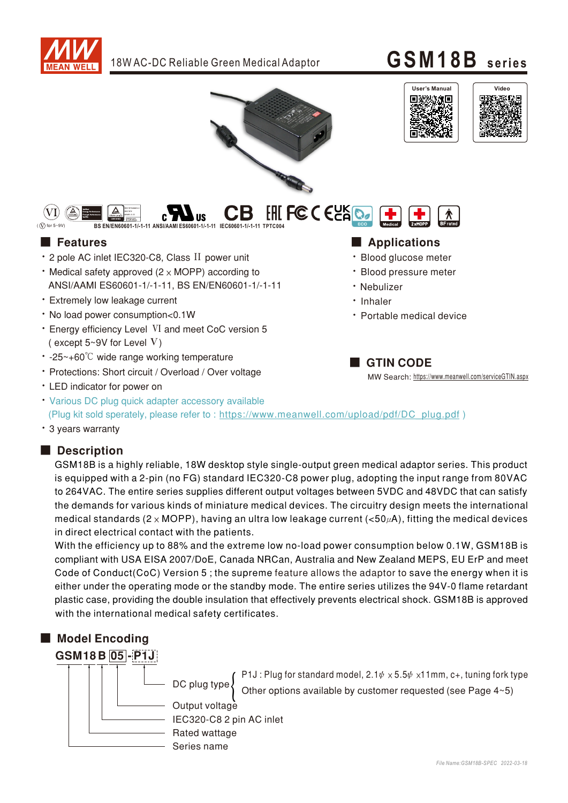



• LED indicator for power on

• Various DC plug quick adapter accessory available (Plug kit sold sperately, please refer to: https://www.meanwell.com/upload/pdf/DC\_plug.pdf)

• 3 years warranty

### Description

GSM18B is a highly reliable, 18W desktop style single-output green medical adaptor series. This product is equipped with a 2-pin (no FG) standard IEC320-C8 power plug, adopting the input range from 80VAC to 264VAC. The entire series supplies different output voltages between 5VDC and 48VDC that can satisfy the demands for various kinds of miniature medical devices. The circuitry design meets the international medical standards (2  $\times$  MOPP), having an ultra low leakage current (<50 $\mu$ A), fitting the medical devices in direct electrical contact with the patients.

With the efficiency up to 88% and the extreme low no-load power consumption below 0.1W, GSM18B is compliant with USA EISA 2007/DoE, Canada NRCan, Australia and New Zealand MEPS, EU ErP and meet Code of Conduct(CoC) Version 5; the supreme feature allows the adaptor to save the energy when it is either under the operating mode or the standby mode. The entire series utilizes the 94V-0 flame retardant plastic case, providing the double insulation that effectively prevents electrical shock. GSM18B is approved with the international medical safety certificates.

### ■ Model Encoding



<code>P1J</code> : Plug for standard model, 2.1 $\psi \times$  5.5 $\psi \times$ 11mm, c+, tuning fork type Other options available by customer requested (see Page 4~5)

IEC320-C8 2 pin AC inlet Output voltage Rated wattage Series name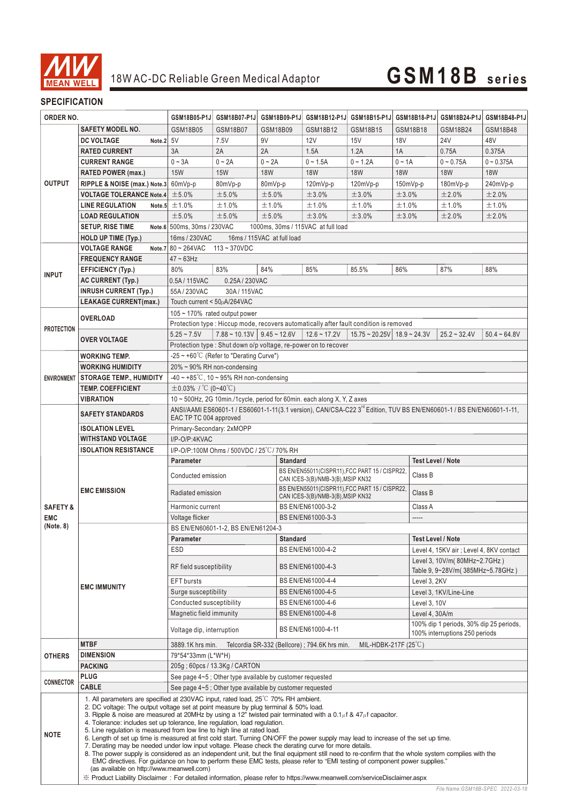

### **SPECIFICATION**

| ORDER NO.                                                                                                                                                                                     |                                                                                                                           | GSM18B05-P1J                                                                                                                                                                                                                                                                                                                                                                                                                                                                                                                                                                                                                                                                                                                                                                                                                                                                                                                                                                                                                                                             | GSM18B07-P1J                                                         | GSM18B09-P1J | GSM18B12-P1J                                                                                                                    | GSM18B15-P1J                                | GSM18B18-P1J      | GSM18B24-P1J                                                              | GSM18B48-P1J   |  |  |  |
|-----------------------------------------------------------------------------------------------------------------------------------------------------------------------------------------------|---------------------------------------------------------------------------------------------------------------------------|--------------------------------------------------------------------------------------------------------------------------------------------------------------------------------------------------------------------------------------------------------------------------------------------------------------------------------------------------------------------------------------------------------------------------------------------------------------------------------------------------------------------------------------------------------------------------------------------------------------------------------------------------------------------------------------------------------------------------------------------------------------------------------------------------------------------------------------------------------------------------------------------------------------------------------------------------------------------------------------------------------------------------------------------------------------------------|----------------------------------------------------------------------|--------------|---------------------------------------------------------------------------------------------------------------------------------|---------------------------------------------|-------------------|---------------------------------------------------------------------------|----------------|--|--|--|
|                                                                                                                                                                                               | <b>SAFETY MODEL NO.</b>                                                                                                   | <b>GSM18B05</b>                                                                                                                                                                                                                                                                                                                                                                                                                                                                                                                                                                                                                                                                                                                                                                                                                                                                                                                                                                                                                                                          | <b>GSM18B07</b>                                                      | GSM18B09     | GSM18B12                                                                                                                        | GSM18B15                                    | GSM18B18          | GSM18B24                                                                  | GSM18B48       |  |  |  |
|                                                                                                                                                                                               | <b>DC VOLTAGE</b><br>Note.2                                                                                               | 5V                                                                                                                                                                                                                                                                                                                                                                                                                                                                                                                                                                                                                                                                                                                                                                                                                                                                                                                                                                                                                                                                       | 7.5V                                                                 | 9V           | 12V                                                                                                                             | 15V                                         | <b>18V</b>        | <b>24V</b>                                                                | 48V            |  |  |  |
|                                                                                                                                                                                               | <b>RATED CURRENT</b>                                                                                                      | 3A                                                                                                                                                                                                                                                                                                                                                                                                                                                                                                                                                                                                                                                                                                                                                                                                                                                                                                                                                                                                                                                                       | 2A                                                                   | 2A           | 1.5A                                                                                                                            | 1.2A                                        | 1A                | 0.75A                                                                     | 0.375A         |  |  |  |
|                                                                                                                                                                                               | <b>CURRENT RANGE</b>                                                                                                      | $0 - 3A$                                                                                                                                                                                                                                                                                                                                                                                                                                                                                                                                                                                                                                                                                                                                                                                                                                                                                                                                                                                                                                                                 | $0 - 2A$                                                             | $0 - 2A$     | $0 - 1.5A$                                                                                                                      | $0 - 1.2A$                                  | $0 - 1A$          | $0 - 0.75A$                                                               | $0 - 0.375A$   |  |  |  |
|                                                                                                                                                                                               | <b>RATED POWER (max.)</b>                                                                                                 | <b>15W</b>                                                                                                                                                                                                                                                                                                                                                                                                                                                                                                                                                                                                                                                                                                                                                                                                                                                                                                                                                                                                                                                               | <b>15W</b>                                                           | <b>18W</b>   | <b>18W</b>                                                                                                                      | <b>18W</b>                                  | <b>18W</b>        | <b>18W</b>                                                                | <b>18W</b>     |  |  |  |
| <b>OUTPUT</b>                                                                                                                                                                                 | RIPPLE & NOISE (max.) Note.3                                                                                              | 60mVp-p                                                                                                                                                                                                                                                                                                                                                                                                                                                                                                                                                                                                                                                                                                                                                                                                                                                                                                                                                                                                                                                                  | 80mVp-p                                                              | 80mVp-p      | $120mVp-p$                                                                                                                      | 120mVp-p                                    | $150mVp-p$        | 180mVp-p                                                                  | 240mVp-p       |  |  |  |
| <b>INPUT</b><br><b>PROTECTION</b>                                                                                                                                                             | <b>VOLTAGE TOLERANCE Note.4</b>                                                                                           | ±5.0%                                                                                                                                                                                                                                                                                                                                                                                                                                                                                                                                                                                                                                                                                                                                                                                                                                                                                                                                                                                                                                                                    | ±5.0%                                                                | ±5.0%        | ±3.0%                                                                                                                           | ±3.0%                                       | ±3.0%             | ±2.0%                                                                     | ±2.0%          |  |  |  |
|                                                                                                                                                                                               | <b>LINE REGULATION</b><br>Note.5                                                                                          | ±1.0%                                                                                                                                                                                                                                                                                                                                                                                                                                                                                                                                                                                                                                                                                                                                                                                                                                                                                                                                                                                                                                                                    | ±1.0%                                                                | ±1.0%        | ±1.0%                                                                                                                           | ±1.0%                                       | ±1.0%             | ±1.0%                                                                     | ±1.0%          |  |  |  |
|                                                                                                                                                                                               | <b>LOAD REGULATION</b>                                                                                                    | ±5.0%                                                                                                                                                                                                                                                                                                                                                                                                                                                                                                                                                                                                                                                                                                                                                                                                                                                                                                                                                                                                                                                                    | ±5.0%                                                                | ±5.0%        | ±3.0%                                                                                                                           | ±3.0%                                       | ±3.0%             | ±2.0%                                                                     | ±2.0%          |  |  |  |
|                                                                                                                                                                                               | <b>SETUP, RISE TIME</b>                                                                                                   | Note.6 500ms, 30ms / 230VAC                                                                                                                                                                                                                                                                                                                                                                                                                                                                                                                                                                                                                                                                                                                                                                                                                                                                                                                                                                                                                                              |                                                                      |              | 1000ms, 30ms / 115VAC at full load                                                                                              |                                             |                   |                                                                           |                |  |  |  |
|                                                                                                                                                                                               | <b>HOLD UP TIME (Typ.)</b>                                                                                                | 16ms / 230VAC<br>16ms / 115VAC at full load                                                                                                                                                                                                                                                                                                                                                                                                                                                                                                                                                                                                                                                                                                                                                                                                                                                                                                                                                                                                                              |                                                                      |              |                                                                                                                                 |                                             |                   |                                                                           |                |  |  |  |
|                                                                                                                                                                                               | <b>VOLTAGE RANGE</b>                                                                                                      | Note.7 $80 \sim 264$ VAC<br>$113 - 370VDC$                                                                                                                                                                                                                                                                                                                                                                                                                                                                                                                                                                                                                                                                                                                                                                                                                                                                                                                                                                                                                               |                                                                      |              |                                                                                                                                 |                                             |                   |                                                                           |                |  |  |  |
|                                                                                                                                                                                               | <b>FREQUENCY RANGE</b>                                                                                                    | $47 \sim 63$ Hz                                                                                                                                                                                                                                                                                                                                                                                                                                                                                                                                                                                                                                                                                                                                                                                                                                                                                                                                                                                                                                                          |                                                                      |              |                                                                                                                                 |                                             |                   |                                                                           |                |  |  |  |
|                                                                                                                                                                                               | EFFICIENCY (Typ.)                                                                                                         | 80%                                                                                                                                                                                                                                                                                                                                                                                                                                                                                                                                                                                                                                                                                                                                                                                                                                                                                                                                                                                                                                                                      | 83%                                                                  | 84%          | 85%                                                                                                                             | 85.5%                                       | 86%               | 87%                                                                       | 88%            |  |  |  |
|                                                                                                                                                                                               | <b>AC CURRENT (Typ.)</b>                                                                                                  | 0.5A/115VAC                                                                                                                                                                                                                                                                                                                                                                                                                                                                                                                                                                                                                                                                                                                                                                                                                                                                                                                                                                                                                                                              | 0.25A / 230VAC                                                       |              |                                                                                                                                 |                                             |                   |                                                                           |                |  |  |  |
|                                                                                                                                                                                               | <b>INRUSH CURRENT (Typ.)</b>                                                                                              | 55A/230VAC                                                                                                                                                                                                                                                                                                                                                                                                                                                                                                                                                                                                                                                                                                                                                                                                                                                                                                                                                                                                                                                               | 30A/115VAC                                                           |              |                                                                                                                                 |                                             |                   |                                                                           |                |  |  |  |
|                                                                                                                                                                                               | <b>LEAKAGE CURRENT(max.)</b>                                                                                              | Touch current < 50µA/264VAC                                                                                                                                                                                                                                                                                                                                                                                                                                                                                                                                                                                                                                                                                                                                                                                                                                                                                                                                                                                                                                              |                                                                      |              |                                                                                                                                 |                                             |                   |                                                                           |                |  |  |  |
|                                                                                                                                                                                               |                                                                                                                           |                                                                                                                                                                                                                                                                                                                                                                                                                                                                                                                                                                                                                                                                                                                                                                                                                                                                                                                                                                                                                                                                          | $105 \sim 170\%$ rated output power                                  |              |                                                                                                                                 |                                             |                   |                                                                           |                |  |  |  |
|                                                                                                                                                                                               | <b>OVERLOAD</b>                                                                                                           |                                                                                                                                                                                                                                                                                                                                                                                                                                                                                                                                                                                                                                                                                                                                                                                                                                                                                                                                                                                                                                                                          |                                                                      |              | Protection type : Hiccup mode, recovers automatically after fault condition is removed                                          |                                             |                   |                                                                           |                |  |  |  |
|                                                                                                                                                                                               |                                                                                                                           | $5.25 - 7.5V$                                                                                                                                                                                                                                                                                                                                                                                                                                                                                                                                                                                                                                                                                                                                                                                                                                                                                                                                                                                                                                                            | $7.88 \sim 10.13V$ 9.45 ~ 12.6V                                      |              | $12.6 - 17.2V$                                                                                                                  | $15.75 \approx 20.25V$ 18.9 $\approx 24.3V$ |                   | $25.2 - 32.4V$                                                            | $50.4 - 64.8V$ |  |  |  |
|                                                                                                                                                                                               | <b>OVER VOLTAGE</b>                                                                                                       | Protection type: Shut down o/p voltage, re-power on to recover                                                                                                                                                                                                                                                                                                                                                                                                                                                                                                                                                                                                                                                                                                                                                                                                                                                                                                                                                                                                           |                                                                      |              |                                                                                                                                 |                                             |                   |                                                                           |                |  |  |  |
| <b>WORKING TEMP.</b>                                                                                                                                                                          |                                                                                                                           | -25 $\sim$ +60°C (Refer to "Derating Curve")                                                                                                                                                                                                                                                                                                                                                                                                                                                                                                                                                                                                                                                                                                                                                                                                                                                                                                                                                                                                                             |                                                                      |              |                                                                                                                                 |                                             |                   |                                                                           |                |  |  |  |
|                                                                                                                                                                                               | <b>WORKING HUMIDITY</b>                                                                                                   |                                                                                                                                                                                                                                                                                                                                                                                                                                                                                                                                                                                                                                                                                                                                                                                                                                                                                                                                                                                                                                                                          | 20% ~ 90% RH non-condensing                                          |              |                                                                                                                                 |                                             |                   |                                                                           |                |  |  |  |
|                                                                                                                                                                                               | ENVIRONMENT STORAGE TEMP., HUMIDITY                                                                                       | -40 ~ +85°C, 10 ~ 95% RH non-condensing                                                                                                                                                                                                                                                                                                                                                                                                                                                                                                                                                                                                                                                                                                                                                                                                                                                                                                                                                                                                                                  |                                                                      |              |                                                                                                                                 |                                             |                   |                                                                           |                |  |  |  |
|                                                                                                                                                                                               | <b>TEMP. COEFFICIENT</b>                                                                                                  | $\pm$ 0.03% / °C (0~40°C)                                                                                                                                                                                                                                                                                                                                                                                                                                                                                                                                                                                                                                                                                                                                                                                                                                                                                                                                                                                                                                                |                                                                      |              |                                                                                                                                 |                                             |                   |                                                                           |                |  |  |  |
|                                                                                                                                                                                               | <b>VIBRATION</b>                                                                                                          |                                                                                                                                                                                                                                                                                                                                                                                                                                                                                                                                                                                                                                                                                                                                                                                                                                                                                                                                                                                                                                                                          |                                                                      |              | 10 ~ 500Hz, 2G 10min./1cycle, period for 60min. each along X, Y, Z axes                                                         |                                             |                   |                                                                           |                |  |  |  |
|                                                                                                                                                                                               |                                                                                                                           |                                                                                                                                                                                                                                                                                                                                                                                                                                                                                                                                                                                                                                                                                                                                                                                                                                                                                                                                                                                                                                                                          |                                                                      |              | ANSI/AAMI ES60601-1 / ES60601-1-11(3.1 version), CAN/CSA-C22 3 <sup>rd</sup> Edition, TUV BS EN/EN60601-1 / BS EN/EN60601-1-11, |                                             |                   |                                                                           |                |  |  |  |
|                                                                                                                                                                                               | <b>SAFETY STANDARDS</b>                                                                                                   | EAC TP TC 004 approved                                                                                                                                                                                                                                                                                                                                                                                                                                                                                                                                                                                                                                                                                                                                                                                                                                                                                                                                                                                                                                                   |                                                                      |              |                                                                                                                                 |                                             |                   |                                                                           |                |  |  |  |
|                                                                                                                                                                                               | <b>ISOLATION LEVEL</b>                                                                                                    | Primary-Secondary: 2xMOPP                                                                                                                                                                                                                                                                                                                                                                                                                                                                                                                                                                                                                                                                                                                                                                                                                                                                                                                                                                                                                                                |                                                                      |              |                                                                                                                                 |                                             |                   |                                                                           |                |  |  |  |
|                                                                                                                                                                                               | <b>WITHSTAND VOLTAGE</b>                                                                                                  | I/P-O/P:4KVAC                                                                                                                                                                                                                                                                                                                                                                                                                                                                                                                                                                                                                                                                                                                                                                                                                                                                                                                                                                                                                                                            |                                                                      |              |                                                                                                                                 |                                             |                   |                                                                           |                |  |  |  |
|                                                                                                                                                                                               | <b>ISOLATION RESISTANCE</b>                                                                                               |                                                                                                                                                                                                                                                                                                                                                                                                                                                                                                                                                                                                                                                                                                                                                                                                                                                                                                                                                                                                                                                                          | I/P-O/P:100M Ohms / 500VDC / 25 °C / 70% RH                          |              |                                                                                                                                 |                                             |                   |                                                                           |                |  |  |  |
|                                                                                                                                                                                               |                                                                                                                           | Parameter                                                                                                                                                                                                                                                                                                                                                                                                                                                                                                                                                                                                                                                                                                                                                                                                                                                                                                                                                                                                                                                                |                                                                      |              | <b>Test Level / Note</b>                                                                                                        |                                             |                   |                                                                           |                |  |  |  |
|                                                                                                                                                                                               |                                                                                                                           |                                                                                                                                                                                                                                                                                                                                                                                                                                                                                                                                                                                                                                                                                                                                                                                                                                                                                                                                                                                                                                                                          | BS EN/EN55011(CISPR11), FCC PART 15 / CISPR22,<br>Conducted emission |              |                                                                                                                                 |                                             |                   | Class B                                                                   |                |  |  |  |
|                                                                                                                                                                                               |                                                                                                                           | CAN ICES-3(B)/NMB-3(B), MSIP KN32                                                                                                                                                                                                                                                                                                                                                                                                                                                                                                                                                                                                                                                                                                                                                                                                                                                                                                                                                                                                                                        |                                                                      |              |                                                                                                                                 |                                             |                   |                                                                           |                |  |  |  |
|                                                                                                                                                                                               | <b>EMC EMISSION</b>                                                                                                       | Radiated emission                                                                                                                                                                                                                                                                                                                                                                                                                                                                                                                                                                                                                                                                                                                                                                                                                                                                                                                                                                                                                                                        |                                                                      |              | BS EN/EN55011(CISPR11), FCC PART 15 / CISPR22,<br>CAN ICES-3(B)/NMB-3(B), MSIP KN32                                             |                                             |                   | Class B                                                                   |                |  |  |  |
| <b>SAFETY &amp;</b>                                                                                                                                                                           |                                                                                                                           | Harmonic current                                                                                                                                                                                                                                                                                                                                                                                                                                                                                                                                                                                                                                                                                                                                                                                                                                                                                                                                                                                                                                                         |                                                                      |              | BS EN/EN61000-3-2                                                                                                               |                                             | Class A           |                                                                           |                |  |  |  |
| <b>EMC</b>                                                                                                                                                                                    |                                                                                                                           | BS EN/EN61000-3-3<br>Voltage flicker                                                                                                                                                                                                                                                                                                                                                                                                                                                                                                                                                                                                                                                                                                                                                                                                                                                                                                                                                                                                                                     |                                                                      |              |                                                                                                                                 |                                             | -----             |                                                                           |                |  |  |  |
| (Note. 8)                                                                                                                                                                                     | <b>EMC IMMUNITY</b>                                                                                                       | BS EN/EN60601-1-2, BS EN/EN61204-3                                                                                                                                                                                                                                                                                                                                                                                                                                                                                                                                                                                                                                                                                                                                                                                                                                                                                                                                                                                                                                       |                                                                      |              |                                                                                                                                 |                                             |                   |                                                                           |                |  |  |  |
|                                                                                                                                                                                               |                                                                                                                           | Parameter<br><b>Standard</b>                                                                                                                                                                                                                                                                                                                                                                                                                                                                                                                                                                                                                                                                                                                                                                                                                                                                                                                                                                                                                                             |                                                                      |              |                                                                                                                                 |                                             | Test Level / Note |                                                                           |                |  |  |  |
|                                                                                                                                                                                               |                                                                                                                           | <b>ESD</b>                                                                                                                                                                                                                                                                                                                                                                                                                                                                                                                                                                                                                                                                                                                                                                                                                                                                                                                                                                                                                                                               |                                                                      |              | BS EN/EN61000-4-2                                                                                                               |                                             |                   | Level 4, 15KV air ; Level 4, 8KV contact                                  |                |  |  |  |
|                                                                                                                                                                                               |                                                                                                                           | RF field susceptibility                                                                                                                                                                                                                                                                                                                                                                                                                                                                                                                                                                                                                                                                                                                                                                                                                                                                                                                                                                                                                                                  |                                                                      |              | BS EN/EN61000-4-3                                                                                                               |                                             |                   | Level 3, 10V/m(80MHz~2.7GHz)                                              |                |  |  |  |
|                                                                                                                                                                                               |                                                                                                                           |                                                                                                                                                                                                                                                                                                                                                                                                                                                                                                                                                                                                                                                                                                                                                                                                                                                                                                                                                                                                                                                                          |                                                                      |              |                                                                                                                                 |                                             |                   | Table 9, 9~28V/m(385MHz~5.78GHz)                                          |                |  |  |  |
|                                                                                                                                                                                               |                                                                                                                           | <b>EFT</b> bursts                                                                                                                                                                                                                                                                                                                                                                                                                                                                                                                                                                                                                                                                                                                                                                                                                                                                                                                                                                                                                                                        |                                                                      |              | BS EN/EN61000-4-4                                                                                                               |                                             |                   | Level 3, 2KV                                                              |                |  |  |  |
|                                                                                                                                                                                               |                                                                                                                           | Surge susceptibility                                                                                                                                                                                                                                                                                                                                                                                                                                                                                                                                                                                                                                                                                                                                                                                                                                                                                                                                                                                                                                                     |                                                                      |              | BS EN/EN61000-4-5                                                                                                               |                                             |                   | Level 3, 1KV/Line-Line                                                    |                |  |  |  |
|                                                                                                                                                                                               |                                                                                                                           | Conducted susceptibility                                                                                                                                                                                                                                                                                                                                                                                                                                                                                                                                                                                                                                                                                                                                                                                                                                                                                                                                                                                                                                                 |                                                                      |              | BS EN/EN61000-4-6                                                                                                               |                                             |                   | Level 3, 10V                                                              |                |  |  |  |
|                                                                                                                                                                                               |                                                                                                                           | Magnetic field immunity                                                                                                                                                                                                                                                                                                                                                                                                                                                                                                                                                                                                                                                                                                                                                                                                                                                                                                                                                                                                                                                  |                                                                      |              | BS EN/EN61000-4-8                                                                                                               |                                             |                   | Level $4, 30$ A/m                                                         |                |  |  |  |
|                                                                                                                                                                                               |                                                                                                                           | BS EN/EN61000-4-11<br>Voltage dip, interruption                                                                                                                                                                                                                                                                                                                                                                                                                                                                                                                                                                                                                                                                                                                                                                                                                                                                                                                                                                                                                          |                                                                      |              |                                                                                                                                 |                                             |                   | 100% dip 1 periods, 30% dip 25 periods,<br>100% interruptions 250 periods |                |  |  |  |
|                                                                                                                                                                                               |                                                                                                                           | MIL-HDBK-217F (25°C)                                                                                                                                                                                                                                                                                                                                                                                                                                                                                                                                                                                                                                                                                                                                                                                                                                                                                                                                                                                                                                                     |                                                                      |              |                                                                                                                                 |                                             |                   |                                                                           |                |  |  |  |
|                                                                                                                                                                                               |                                                                                                                           |                                                                                                                                                                                                                                                                                                                                                                                                                                                                                                                                                                                                                                                                                                                                                                                                                                                                                                                                                                                                                                                                          |                                                                      |              |                                                                                                                                 |                                             |                   |                                                                           |                |  |  |  |
| <b>MTBF</b><br>Telcordia SR-332 (Bellcore); 794.6K hrs min.<br>3889.1K hrs min.<br><b>DIMENSION</b><br>79*54*33mm (L*W*H)<br><b>OTHERS</b><br><b>PACKING</b><br>205g; 60pcs / 13.3Kg / CARTON |                                                                                                                           |                                                                                                                                                                                                                                                                                                                                                                                                                                                                                                                                                                                                                                                                                                                                                                                                                                                                                                                                                                                                                                                                          |                                                                      |              |                                                                                                                                 |                                             |                   |                                                                           |                |  |  |  |
|                                                                                                                                                                                               | <b>PLUG</b>                                                                                                               |                                                                                                                                                                                                                                                                                                                                                                                                                                                                                                                                                                                                                                                                                                                                                                                                                                                                                                                                                                                                                                                                          | See page 4~5; Other type available by customer requested             |              |                                                                                                                                 |                                             |                   |                                                                           |                |  |  |  |
| <b>CONNECTOR</b>                                                                                                                                                                              | <b>CABLE</b>                                                                                                              |                                                                                                                                                                                                                                                                                                                                                                                                                                                                                                                                                                                                                                                                                                                                                                                                                                                                                                                                                                                                                                                                          |                                                                      |              |                                                                                                                                 |                                             |                   |                                                                           |                |  |  |  |
| <b>NOTE</b>                                                                                                                                                                                   | (as available on http://www.meanwell.com)                                                                                 | See page 4~5; Other type available by customer requested<br>1. All parameters are specified at 230VAC input, rated load, 25 <sup>°</sup> C 70% RH ambient.<br>2. DC voltage: The output voltage set at point measure by plug terminal & 50% load.<br>3. Ripple & noise are measured at 20MHz by using a 12" twisted pair terminated with a $0.1\mu$ f & $47\mu$ f capacitor.<br>4. Tolerance: includes set up tolerance, line regulation, load regulation.<br>5. Line regulation is measured from low line to high line at rated load.<br>6. Length of set up time is measured at first cold start. Turning ON/OFF the power supply may lead to increase of the set up time.<br>7. Derating may be needed under low input voltage. Please check the derating curve for more details.<br>8. The power supply is considered as an independent unit, but the final equipment still need to re-confirm that the whole system complies with the<br>EMC directives. For guidance on how to perform these EMC tests, please refer to "EMI testing of component power supplies." |                                                                      |              |                                                                                                                                 |                                             |                   |                                                                           |                |  |  |  |
|                                                                                                                                                                                               | ※ Product Liability Disclaimer: For detailed information, please refer to https://www.meanwell.com/serviceDisclaimer.aspx |                                                                                                                                                                                                                                                                                                                                                                                                                                                                                                                                                                                                                                                                                                                                                                                                                                                                                                                                                                                                                                                                          |                                                                      |              |                                                                                                                                 |                                             |                   |                                                                           |                |  |  |  |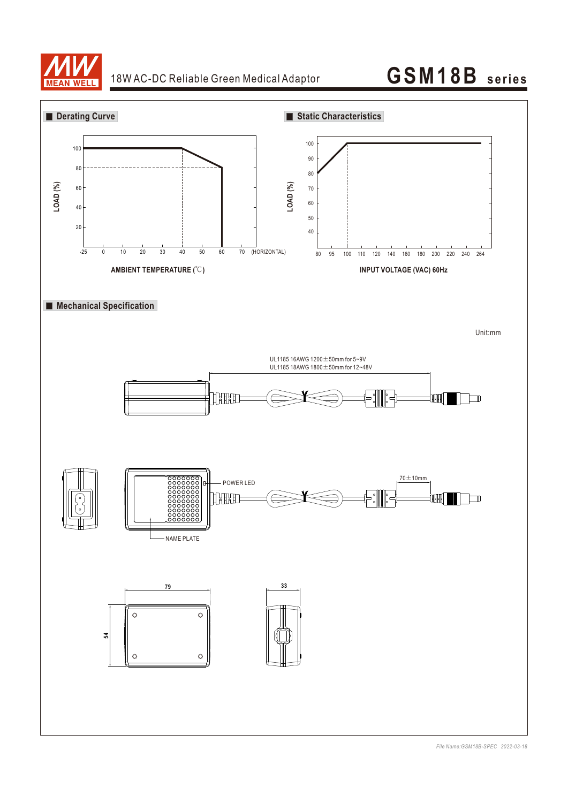

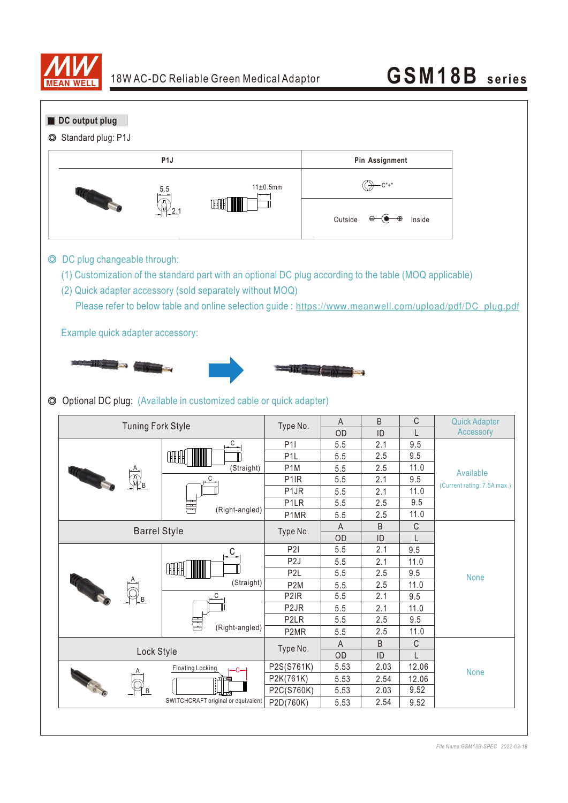

| DC output plug<br>Standard plug: P1J<br>O |                                                                                                                                                                                                     |                         |                |                         |                       |               |               |                                                                                                          |
|-------------------------------------------|-----------------------------------------------------------------------------------------------------------------------------------------------------------------------------------------------------|-------------------------|----------------|-------------------------|-----------------------|---------------|---------------|----------------------------------------------------------------------------------------------------------|
| P <sub>1</sub>                            |                                                                                                                                                                                                     |                         |                |                         | <b>Pin Assignment</b> |               |               |                                                                                                          |
|                                           | 5.5<br>ŒH                                                                                                                                                                                           |                         |                | 11±0.5mm                |                       |               |               |                                                                                                          |
|                                           |                                                                                                                                                                                                     |                         |                |                         | Outside               |               | Inside        |                                                                                                          |
|                                           | DC plug changeable through:<br>(1) Customization of the standard part with an optional DC plug according to the table (MOQ applicable)<br>(2) Quick adapter accessory (sold separately without MOQ) |                         |                |                         |                       |               |               | Please refer to below table and online selection guide : https://www.meanwell.com/upload/pdf/DC_plug.pdf |
|                                           | Example quick adapter accessory:                                                                                                                                                                    |                         |                |                         |                       |               |               |                                                                                                          |
|                                           |                                                                                                                                                                                                     |                         |                |                         |                       |               |               |                                                                                                          |
|                                           |                                                                                                                                                                                                     |                         |                |                         |                       |               |               |                                                                                                          |
|                                           |                                                                                                                                                                                                     |                         |                |                         |                       |               |               |                                                                                                          |
|                                           |                                                                                                                                                                                                     |                         |                |                         |                       |               |               |                                                                                                          |
|                                           |                                                                                                                                                                                                     |                         |                |                         |                       |               |               |                                                                                                          |
|                                           | Optional DC plug: (Available in customized cable or quick adapter)                                                                                                                                  |                         |                |                         |                       |               |               |                                                                                                          |
|                                           |                                                                                                                                                                                                     |                         |                |                         | A                     | B             | С             | <b>Quick Adapter</b>                                                                                     |
|                                           | <b>Tuning Fork Style</b>                                                                                                                                                                            |                         |                | Type No.                | OD                    | ID            | L             | Accessory                                                                                                |
|                                           |                                                                                                                                                                                                     |                         | С              | <b>P1I</b>              | 5.5                   | 2.1           | 9.5           |                                                                                                          |
|                                           |                                                                                                                                                                                                     | ŒH                      |                | P <sub>1</sub> L        | 5.5                   | 2.5           | 9.5           |                                                                                                          |
|                                           |                                                                                                                                                                                                     |                         | (Straight)     | P <sub>1</sub> M        | 5.5                   | 2.5           | 11.0          | Available                                                                                                |
|                                           |                                                                                                                                                                                                     |                         | C              | P <sub>1</sub> IR       | 5.5                   | 2.1           | 9.5           |                                                                                                          |
|                                           |                                                                                                                                                                                                     |                         |                | P <sub>1</sub> JR       | 5.5                   | 2.1           | 11.0          |                                                                                                          |
|                                           |                                                                                                                                                                                                     |                         | (Right-angled) | P <sub>1</sub> LR       | 5.5                   | 2.5           | 9.5           |                                                                                                          |
|                                           |                                                                                                                                                                                                     |                         |                | P1MR                    | 5.5                   | 2.5           | 11.0          |                                                                                                          |
|                                           |                                                                                                                                                                                                     | <b>Barrel Style</b>     |                | Type No.                | $\overline{A}$        | B             | $\mathsf C$   |                                                                                                          |
|                                           |                                                                                                                                                                                                     |                         |                |                         | OD                    | ID            | L             | (Current rating: 7.5A max.)                                                                              |
|                                           |                                                                                                                                                                                                     |                         | С              | P <sub>2</sub> I        | 5.5                   | 2.1           | 9.5           |                                                                                                          |
|                                           |                                                                                                                                                                                                     |                         |                | P <sub>2</sub> J        | 5.5                   | 2.1           | 11.0          |                                                                                                          |
|                                           |                                                                                                                                                                                                     | <b>HHH</b>              |                | P <sub>2</sub> L        | 5.5                   | 2.5           | 9.5           | <b>None</b>                                                                                              |
|                                           |                                                                                                                                                                                                     |                         | (Straight)     | P <sub>2</sub> M        | 5.5                   | 2.5           | 11.0          |                                                                                                          |
| <b>COLLEGE</b>                            |                                                                                                                                                                                                     |                         | $\overline{C}$ | P <sub>2</sub> IR       | 5.5                   | 2.1           | 9.5           |                                                                                                          |
|                                           |                                                                                                                                                                                                     |                         |                | P <sub>2</sub> JR       | 5.5                   | 2.1           | 11.0          |                                                                                                          |
|                                           |                                                                                                                                                                                                     |                         | (Right-angled) | P <sub>2</sub> LR       | 5.5                   | 2.5           | 9.5           |                                                                                                          |
|                                           |                                                                                                                                                                                                     |                         |                | P2MR                    | 5.5                   | 2.5           | 11.0          |                                                                                                          |
|                                           | Lock Style                                                                                                                                                                                          |                         |                | Type No.                | $\mathsf{A}$          | B             | $\mathsf C$   |                                                                                                          |
|                                           |                                                                                                                                                                                                     |                         |                |                         | OD                    | $\mathsf{ID}$ | L             |                                                                                                          |
|                                           |                                                                                                                                                                                                     | <b>Floating Locking</b> |                | P2S(S761K)              | 5.53                  | 2.03          | 12.06         | None                                                                                                     |
| <b>CALLED</b>                             |                                                                                                                                                                                                     |                         |                | P2K(761K)<br>P2C(S760K) | 5.53<br>5.53          | 2.54<br>2.03  | 12.06<br>9.52 |                                                                                                          |